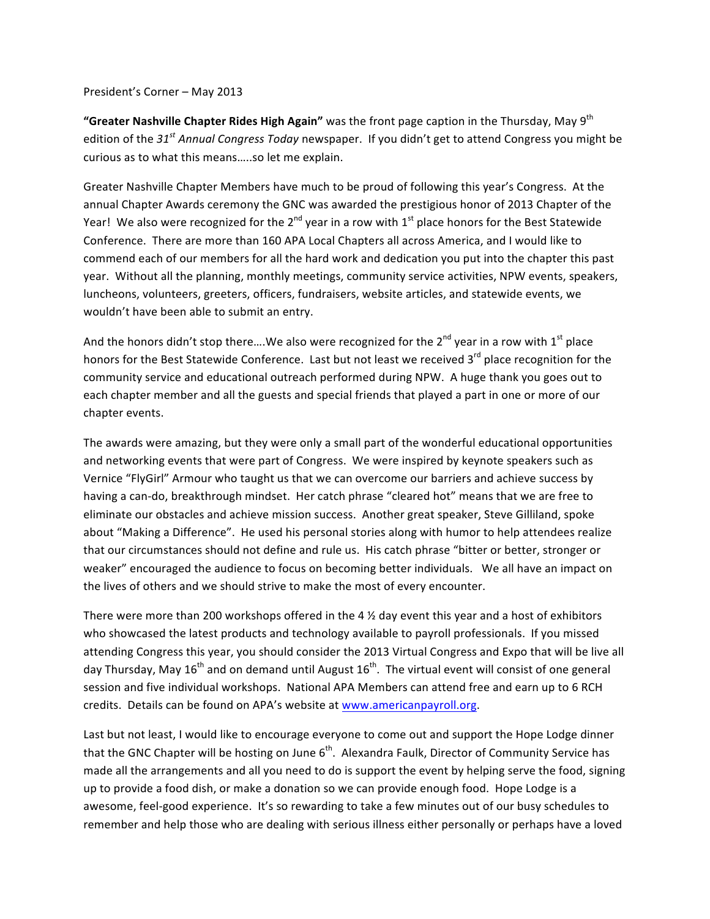## President's Corner - May 2013

"Greater Nashville Chapter Rides High Again" was the front page caption in the Thursday, May 9<sup>th</sup> edition of the 31<sup>*st*</sup> Annual Congress Today newspaper. If you didn't get to attend Congress you might be curious as to what this means.....so let me explain.

Greater Nashville Chapter Members have much to be proud of following this year's Congress. At the annual Chapter Awards ceremony the GNC was awarded the prestigious honor of 2013 Chapter of the Year! We also were recognized for the  $2^{nd}$  year in a row with  $1^{st}$  place honors for the Best Statewide Conference. There are more than 160 APA Local Chapters all across America, and I would like to commend each of our members for all the hard work and dedication you put into the chapter this past year. Without all the planning, monthly meetings, community service activities, NPW events, speakers, luncheons, volunteers, greeters, officers, fundraisers, website articles, and statewide events, we wouldn't have been able to submit an entry.

And the honors didn't stop there....We also were recognized for the  $2^{nd}$  year in a row with  $1^{st}$  place honors for the Best Statewide Conference. Last but not least we received 3<sup>rd</sup> place recognition for the community service and educational outreach performed during NPW. A huge thank you goes out to each chapter member and all the guests and special friends that played a part in one or more of our chapter events.

The awards were amazing, but they were only a small part of the wonderful educational opportunities and networking events that were part of Congress. We were inspired by keynote speakers such as Vernice "FlyGirl" Armour who taught us that we can overcome our barriers and achieve success by having a can-do, breakthrough mindset. Her catch phrase "cleared hot" means that we are free to eliminate our obstacles and achieve mission success. Another great speaker, Steve Gilliland, spoke about "Making a Difference". He used his personal stories along with humor to help attendees realize that our circumstances should not define and rule us. His catch phrase "bitter or better, stronger or weaker" encouraged the audience to focus on becoming better individuals. We all have an impact on the lives of others and we should strive to make the most of every encounter.

There were more than 200 workshops offered in the 4  $\frac{1}{2}$  day event this year and a host of exhibitors who showcased the latest products and technology available to payroll professionals. If you missed attending Congress this year, you should consider the 2013 Virtual Congress and Expo that will be live all day Thursday, May  $16^{th}$  and on demand until August  $16^{th}$ . The virtual event will consist of one general session and five individual workshops. National APA Members can attend free and earn up to 6 RCH credits. Details can be found on APA's website at www.americanpayroll.org.

Last but not least, I would like to encourage everyone to come out and support the Hope Lodge dinner that the GNC Chapter will be hosting on June  $6<sup>th</sup>$ . Alexandra Faulk, Director of Community Service has made all the arrangements and all you need to do is support the event by helping serve the food, signing up to provide a food dish, or make a donation so we can provide enough food. Hope Lodge is a awesome, feel-good experience. It's so rewarding to take a few minutes out of our busy schedules to remember and help those who are dealing with serious illness either personally or perhaps have a loved